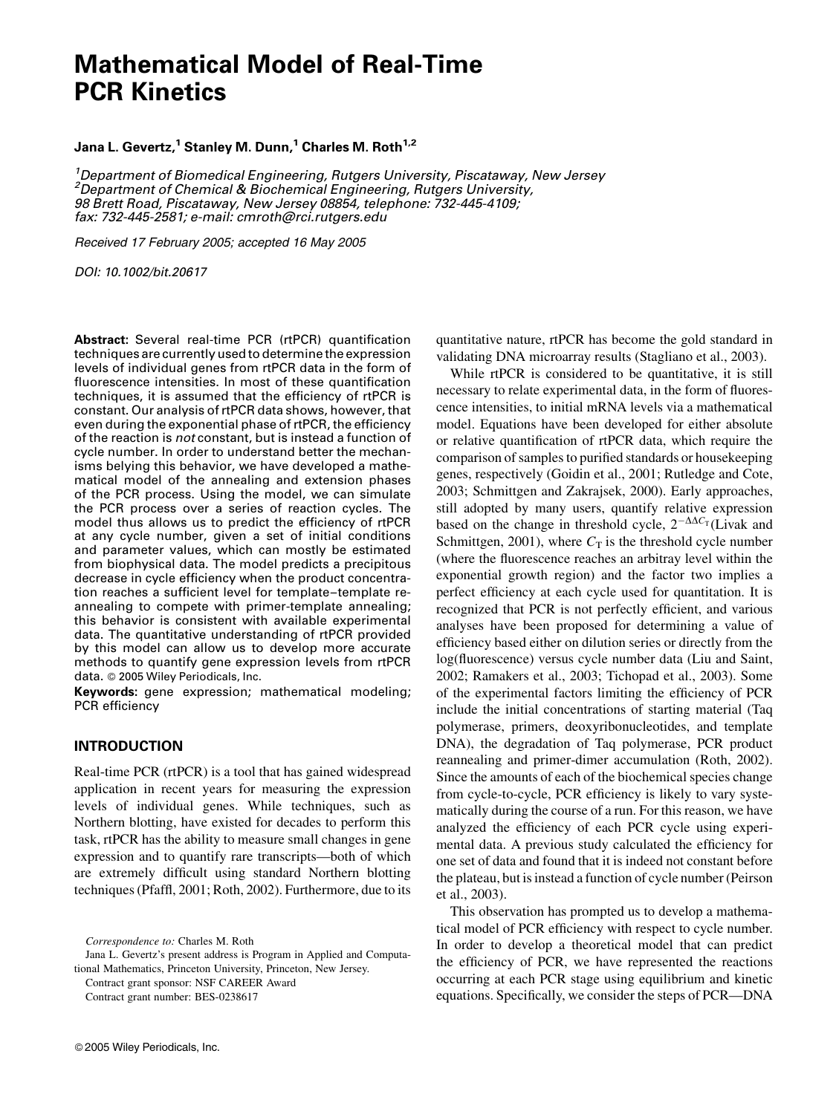# Mathematical Model of Real-Time PCR Kinetics

# Jana L. Gevertz,<sup>1</sup> Stanley M. Dunn,<sup>1</sup> Charles M. Roth<sup>1,2</sup>

<sup>1</sup>Department of Biomedical Engineering, Rutgers University, Piscataway, New Jersey <sup>2</sup> Department of Chemical & Biochemical Engineering, Rutgers University, 98 Brett Road, Piscataway, New Jersey 08854, telephone: 732-445-4109; fax: 732-445-2581; e-mail: cmroth@rci.rutgers.edu

Received 17 February 2005; accepted 16 May 2005

DOI: 10.1002/bit.20617

Abstract: Several real-time PCR (rtPCR) quantification techniques are currently used to determine the expression levels of individual genes from rtPCR data in the form of fluorescence intensities. In most of these quantification techniques, it is assumed that the efficiency of rtPCR is constant. Our analysis of rtPCR data shows, however, that even during the exponential phase of rtPCR, the efficiency of the reaction is not constant, but is instead a function of cycle number. In order to understand better the mechanisms belying this behavior, we have developed a mathematical model of the annealing and extension phases of the PCR process. Using the model, we can simulate the PCR process over a series of reaction cycles. The model thus allows us to predict the efficiency of rtPCR at any cycle number, given a set of initial conditions and parameter values, which can mostly be estimated from biophysical data. The model predicts a precipitous decrease in cycle efficiency when the product concentration reaches a sufficient level for template–template reannealing to compete with primer-template annealing; this behavior is consistent with available experimental data. The quantitative understanding of rtPCR provided by this model can allow us to develop more accurate methods to quantify gene expression levels from rtPCR data. © 2005 Wiley Periodicals, Inc.

Keywords: gene expression; mathematical modeling; PCR efficiency

## INTRODUCTION

Real-time PCR (rtPCR) is a tool that has gained widespread application in recent years for measuring the expression levels of individual genes. While techniques, such as Northern blotting, have existed for decades to perform this task, rtPCR has the ability to measure small changes in gene expression and to quantify rare transcripts—both of which are extremely difficult using standard Northern blotting techniques (Pfaffl, 2001; Roth, 2002). Furthermore, due to its

Contract grant sponsor: NSF CAREER Award Contract grant number: BES-0238617

quantitative nature, rtPCR has become the gold standard in validating DNA microarray results (Stagliano et al., 2003).

While rtPCR is considered to be quantitative, it is still necessary to relate experimental data, in the form of fluorescence intensities, to initial mRNA levels via a mathematical model. Equations have been developed for either absolute or relative quantification of rtPCR data, which require the comparison of samples to purified standards or housekeeping genes, respectively (Goidin et al., 2001; Rutledge and Cote, 2003; Schmittgen and Zakrajsek, 2000). Early approaches, still adopted by many users, quantify relative expression based on the change in threshold cycle,  $2^{-\Delta\Delta C_{\text{T}}}$  (Livak and Schmittgen, 2001), where  $C_T$  is the threshold cycle number (where the fluorescence reaches an arbitray level within the exponential growth region) and the factor two implies a perfect efficiency at each cycle used for quantitation. It is recognized that PCR is not perfectly efficient, and various analyses have been proposed for determining a value of efficiency based either on dilution series or directly from the log(fluorescence) versus cycle number data (Liu and Saint, 2002; Ramakers et al., 2003; Tichopad et al., 2003). Some of the experimental factors limiting the efficiency of PCR include the initial concentrations of starting material (Taq polymerase, primers, deoxyribonucleotides, and template DNA), the degradation of Taq polymerase, PCR product reannealing and primer-dimer accumulation (Roth, 2002). Since the amounts of each of the biochemical species change from cycle-to-cycle, PCR efficiency is likely to vary systematically during the course of a run. For this reason, we have analyzed the efficiency of each PCR cycle using experimental data. A previous study calculated the efficiency for one set of data and found that it is indeed not constant before the plateau, but is instead a function of cycle number (Peirson et al., 2003).

This observation has prompted us to develop a mathematical model of PCR efficiency with respect to cycle number. In order to develop a theoretical model that can predict the efficiency of PCR, we have represented the reactions occurring at each PCR stage using equilibrium and kinetic equations. Specifically, we consider the steps of PCR—DNA

Correspondence to: Charles M. Roth

Jana L. Gevertz's present address is Program in Applied and Computational Mathematics, Princeton University, Princeton, New Jersey.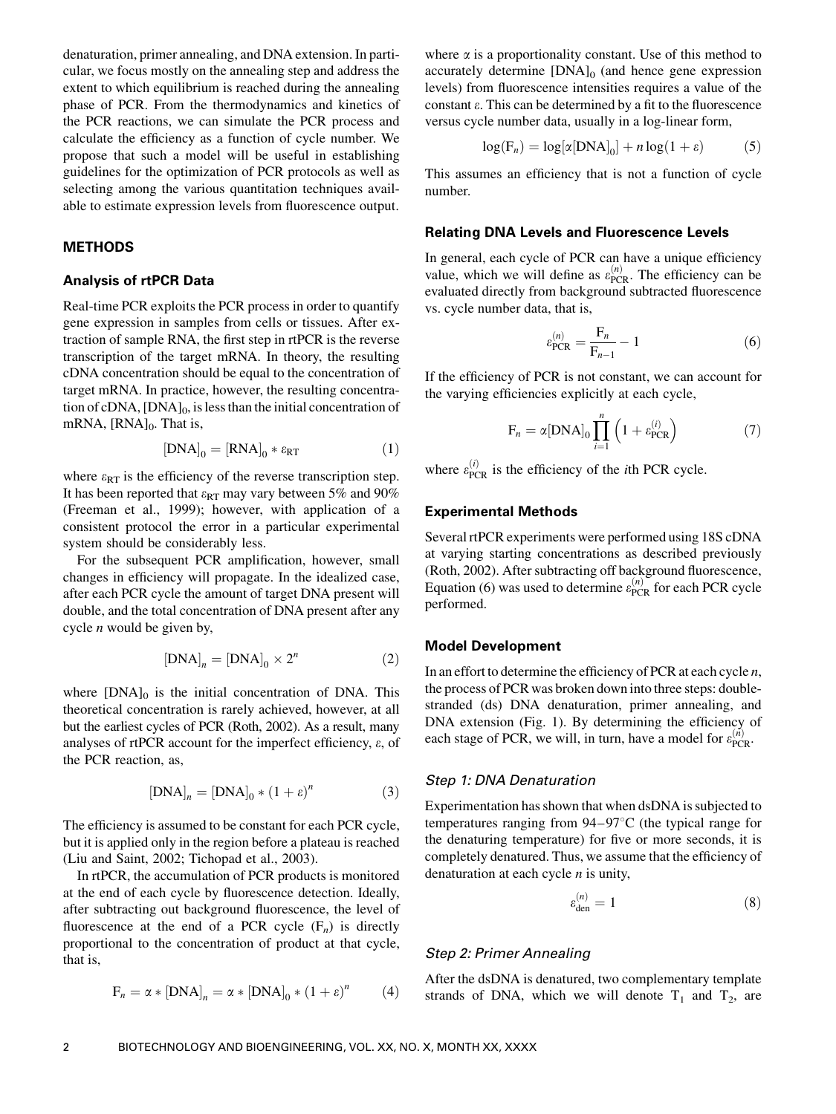denaturation, primer annealing, and DNA extension. In particular, we focus mostly on the annealing step and address the extent to which equilibrium is reached during the annealing phase of PCR. From the thermodynamics and kinetics of the PCR reactions, we can simulate the PCR process and calculate the efficiency as a function of cycle number. We propose that such a model will be useful in establishing guidelines for the optimization of PCR protocols as well as selecting among the various quantitation techniques available to estimate expression levels from fluorescence output.

## METHODS

#### Analysis of rtPCR Data

Real-time PCR exploits the PCR process in order to quantify gene expression in samples from cells or tissues. After extraction of sample RNA, the first step in rtPCR is the reverse transcription of the target mRNA. In theory, the resulting cDNA concentration should be equal to the concentration of target mRNA. In practice, however, the resulting concentration of cDNA,  $[DNA]_0$ , is less than the initial concentration of mRNA,  $[RNA]_0$ . That is,

$$
[DNA]_0 = [RNA]_0 * \varepsilon_{RT} \tag{1}
$$

where  $\varepsilon_{RT}$  is the efficiency of the reverse transcription step. It has been reported that  $\varepsilon_{RT}$  may vary between 5% and 90% (Freeman et al., 1999); however, with application of a consistent protocol the error in a particular experimental system should be considerably less.

For the subsequent PCR amplification, however, small changes in efficiency will propagate. In the idealized case, after each PCR cycle the amount of target DNA present will double, and the total concentration of DNA present after any cycle  $n$  would be given by,

$$
[DNA]_n = [DNA]_0 \times 2^n \tag{2}
$$

where  $[DNA]_0$  is the initial concentration of DNA. This theoretical concentration is rarely achieved, however, at all but the earliest cycles of PCR (Roth, 2002). As a result, many analyses of rtPCR account for the imperfect efficiency,  $\varepsilon$ , of the PCR reaction, as,

$$
[DNA]_n = [DNA]_0 * (1 + \varepsilon)^n \tag{3}
$$

The efficiency is assumed to be constant for each PCR cycle, but it is applied only in the region before a plateau is reached (Liu and Saint, 2002; Tichopad et al., 2003).

In rtPCR, the accumulation of PCR products is monitored at the end of each cycle by fluorescence detection. Ideally, after subtracting out background fluorescence, the level of fluorescence at the end of a PCR cycle  $(F_n)$  is directly proportional to the concentration of product at that cycle, that is,

$$
F_n = \alpha * [DNA]_n = \alpha * [DNA]_0 * (1 + \varepsilon)^n \tag{4}
$$

where  $\alpha$  is a proportionality constant. Use of this method to accurately determine  $[DNA]_0$  (and hence gene expression levels) from fluorescence intensities requires a value of the constant  $\varepsilon$ . This can be determined by a fit to the fluorescence versus cycle number data, usually in a log-linear form,

$$
\log(\mathbf{F}_n) = \log[\alpha[\text{DNA}]_0] + n\log(1+\varepsilon)
$$
 (5)

This assumes an efficiency that is not a function of cycle number.

#### Relating DNA Levels and Fluorescence Levels

In general, each cycle of PCR can have a unique efficiency value, which we will define as  $\varepsilon_{\text{PCR}}^{(n)}$ . The efficiency can be evaluated directly from background subtracted fluorescence vs. cycle number data, that is,

$$
\varepsilon_{\text{PCR}}^{(n)} = \frac{F_n}{F_{n-1}} - 1\tag{6}
$$

If the efficiency of PCR is not constant, we can account for the varying efficiencies explicitly at each cycle,

$$
F_n = \alpha \left[ \text{DNA} \right]_0 \prod_{i=1}^n \left( 1 + \varepsilon_{\text{PCR}}^{(i)} \right) \tag{7}
$$

where  $\varepsilon_{\text{PCR}}^{(i)}$  is the efficiency of the *i*th PCR cycle.

#### Experimental Methods

Several rtPCR experiments were performed using 18S cDNA at varying starting concentrations as described previously (Roth, 2002). After subtracting off background fluorescence, Equation (6) was used to determine  $\varepsilon_{PCR}^{(n)}$  for each PCR cycle performed.

## Model Development

In an effort to determine the efficiency of PCR at each cycle  $n$ , the process of PCR was broken down into three steps: doublestranded (ds) DNA denaturation, primer annealing, and DNA extension (Fig. 1). By determining the efficiency of each stage of PCR, we will, in turn, have a model for  $\varepsilon_{\text{PCR}}^{(n)}$ .

## Step 1: DNA Denaturation

Experimentation has shown that when dsDNA is subjected to temperatures ranging from  $94-97^{\circ}$ C (the typical range for the denaturing temperature) for five or more seconds, it is completely denatured. Thus, we assume that the efficiency of denaturation at each cycle  $n$  is unity,

$$
\varepsilon_{\text{den}}^{(n)} = 1\tag{8}
$$

## Step 2: Primer Annealing

After the dsDNA is denatured, two complementary template strands of DNA, which we will denote  $T_1$  and  $T_2$ , are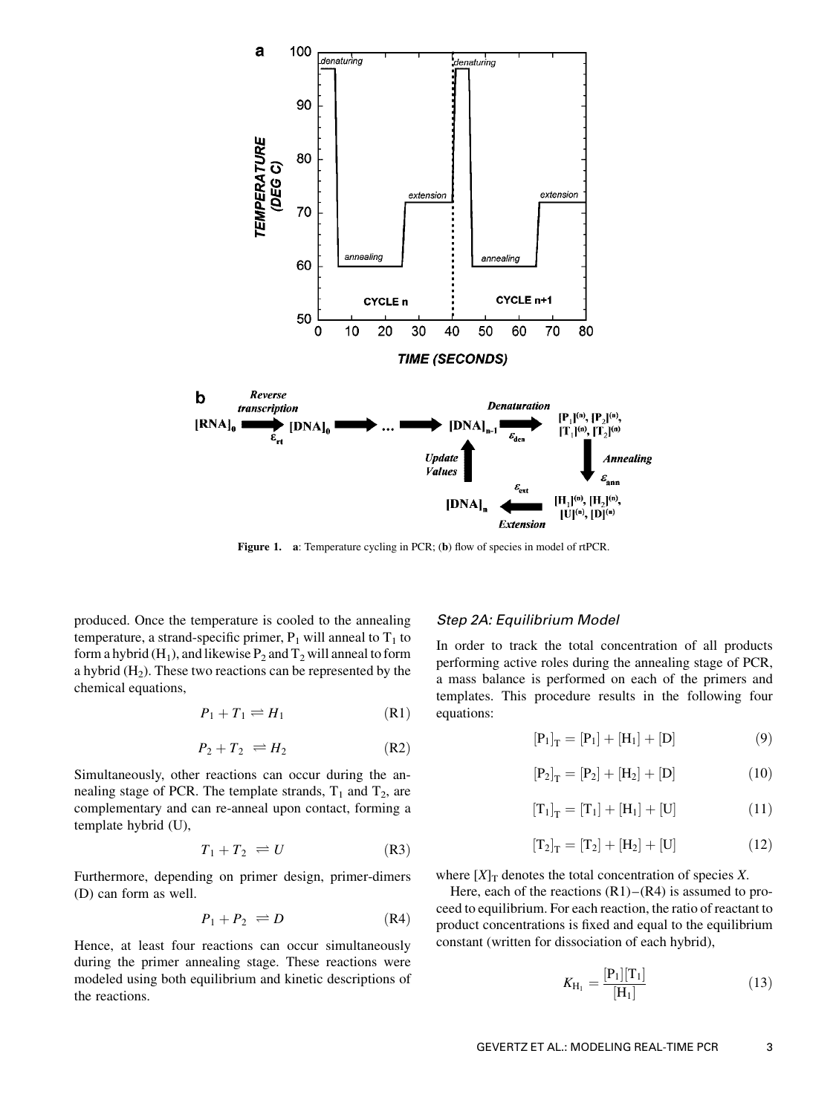

Figure 1. a: Temperature cycling in PCR; (b) flow of species in model of rtPCR.

produced. Once the temperature is cooled to the annealing temperature, a strand-specific primer,  $P_1$  will anneal to  $T_1$  to form a hybrid (H<sub>1</sub>), and likewise  $P_2$  and  $T_2$  will anneal to form a hybrid  $(H<sub>2</sub>)$ . These two reactions can be represented by the chemical equations,

$$
P_1 + T_1 \rightleftharpoons H_1 \tag{R1}
$$

$$
P_2 + T_2 \rightleftharpoons H_2 \tag{R2}
$$

Simultaneously, other reactions can occur during the annealing stage of PCR. The template strands,  $T_1$  and  $T_2$ , are complementary and can re-anneal upon contact, forming a template hybrid (U),

$$
T_1 + T_2 \rightleftharpoons U \tag{R3}
$$

Furthermore, depending on primer design, primer-dimers (D) can form as well.

$$
P_1 + P_2 \rightleftharpoons D \tag{R4}
$$

Hence, at least four reactions can occur simultaneously during the primer annealing stage. These reactions were modeled using both equilibrium and kinetic descriptions of the reactions.

#### Step 2A: Equilibrium Model

In order to track the total concentration of all products performing active roles during the annealing stage of PCR, a mass balance is performed on each of the primers and templates. This procedure results in the following four equations:

$$
[P_1]_T = [P_1] + [H_1] + [D]
$$
 (9)

$$
[P_2]_T = [P_2] + [H_2] + [D]
$$
 (10)

$$
[T_1]_T = [T_1] + [H_1] + [U] \tag{11}
$$

$$
[T_2]_T = [T_2] + [H_2] + [U] \tag{12}
$$

where  $[X]_T$  denotes the total concentration of species X.

Here, each of the reactions  $(R1)$ – $(R4)$  is assumed to proceed to equilibrium. For each reaction, the ratio of reactant to product concentrations is fixed and equal to the equilibrium constant (written for dissociation of each hybrid),

$$
K_{\mathbf{H}_1} = \frac{[\mathbf{P}_1][\mathbf{T}_1]}{[\mathbf{H}_1]}
$$
(13)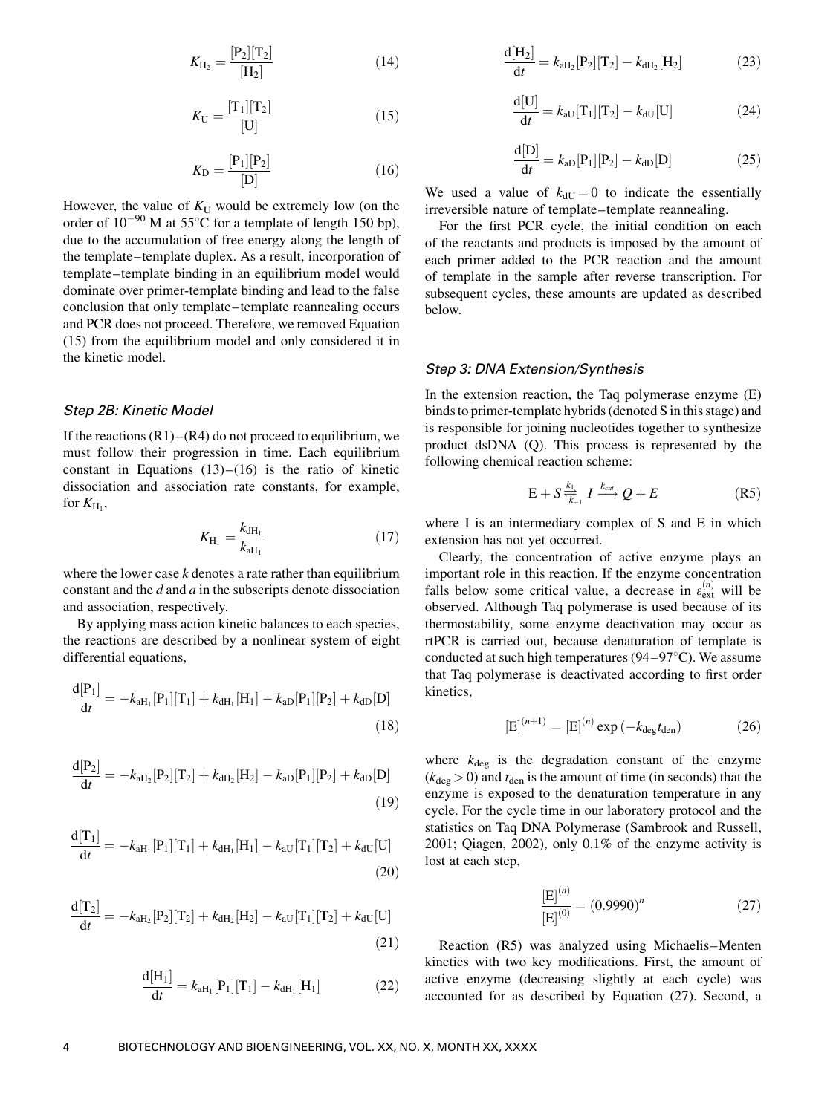$$
K_{\mathrm{H}_2} = \frac{[\mathrm{P}_2][\mathrm{T}_2]}{[\mathrm{H}_2]} \tag{14}
$$

$$
K_{\rm U} = \frac{[\rm T_{1}][\rm T_{2}]}{[\rm U]}
$$
 (15)

$$
K_{\mathcal{D}} = \frac{[\mathcal{P}_1][\mathcal{P}_2]}{[\mathcal{D}]}
$$
 (16)

However, the value of  $K_U$  would be extremely low (on the order of  $10^{-90}$  M at 55°C for a template of length 150 bp), due to the accumulation of free energy along the length of the template–template duplex. As a result, incorporation of template–template binding in an equilibrium model would dominate over primer-template binding and lead to the false conclusion that only template–template reannealing occurs and PCR does not proceed. Therefore, we removed Equation (15) from the equilibrium model and only considered it in the kinetic model.

#### Step 2B: Kinetic Model

If the reactions  $(R1)$ – $(R4)$  do not proceed to equilibrium, we must follow their progression in time. Each equilibrium constant in Equations  $(13)$ – $(16)$  is the ratio of kinetic dissociation and association rate constants, for example, for  $K_{\rm H_1}$ ,

$$
K_{\rm H_1} = \frac{k_{\rm dH_1}}{k_{\rm aH_1}} \tag{17}
$$

where the lower case  $k$  denotes a rate rather than equilibrium constant and the  $d$  and  $a$  in the subscripts denote dissociation and association, respectively.

By applying mass action kinetic balances to each species, the reactions are described by a nonlinear system of eight differential equations,

$$
\frac{d[P_1]}{dt} = -k_{aH_1}[P_1][T_1] + k_{dH_1}[H_1] - k_{aD}[P_1][P_2] + k_{dD}[D]
$$
\n(18)

$$
\frac{d[P_2]}{dt} = -k_{aH_2}[P_2][T_2] + k_{dH_2}[H_2] - k_{aD}[P_1][P_2] + k_{dD}[D]
$$
\n(19)

$$
\frac{d[T_1]}{dt} = -k_{aH_1}[P_1][T_1] + k_{dH_1}[H_1] - k_{aU}[T_1][T_2] + k_{dU}[U]
$$
\n(20)

$$
\frac{d[T_2]}{dt} = -k_{aH_2}[P_2][T_2] + k_{dH_2}[H_2] - k_{aU}[T_1][T_2] + k_{dU}[U]
$$
\n(21)

$$
\frac{d[H_1]}{dt} = k_{aH_1}[P_1][T_1] - k_{dH_1}[H_1]
$$
 (22)

$$
\frac{d[H_2]}{dt} = k_{aH_2}[P_2][T_2] - k_{dH_2}[H_2]
$$
 (23)

$$
\frac{d[U]}{dt} = k_{\rm aU}[T_1][T_2] - k_{\rm dU}[U] \tag{24}
$$

$$
\frac{d[D]}{dt} = k_{aD}[P_1][P_2] - k_{dD}[D] \tag{25}
$$

We used a value of  $k_{\text{dU}} = 0$  to indicate the essentially irreversible nature of template–template reannealing.

For the first PCR cycle, the initial condition on each of the reactants and products is imposed by the amount of each primer added to the PCR reaction and the amount of template in the sample after reverse transcription. For subsequent cycles, these amounts are updated as described below.

#### Step 3: DNA Extension/Synthesis

In the extension reaction, the Taq polymerase enzyme (E) binds to primer-template hybrids (denoted S in this stage) and is responsible for joining nucleotides together to synthesize product dsDNA (Q). This process is represented by the following chemical reaction scheme:

$$
E + S \frac{k_1}{k_1} I \xrightarrow{k_{cat}} Q + E \tag{R5}
$$

where I is an intermediary complex of S and E in which extension has not yet occurred.

Clearly, the concentration of active enzyme plays an important role in this reaction. If the enzyme concentration falls below some critical value, a decrease in  $\varepsilon_{ext}^{(n)}$  will be observed. Although Taq polymerase is used because of its thermostability, some enzyme deactivation may occur as rtPCR is carried out, because denaturation of template is conducted at such high temperatures ( $94-97^{\circ}$ C). We assume that Taq polymerase is deactivated according to first order kinetics,

$$
[E]^{(n+1)} = [E]^{(n)} \exp(-k_{\text{deg}}t_{\text{den}}) \tag{26}
$$

where  $k_{\text{deg}}$  is the degradation constant of the enzyme  $(k_{\text{deg}} > 0)$  and  $t_{\text{den}}$  is the amount of time (in seconds) that the enzyme is exposed to the denaturation temperature in any cycle. For the cycle time in our laboratory protocol and the statistics on Taq DNA Polymerase (Sambrook and Russell, 2001; Qiagen, 2002), only 0.1% of the enzyme activity is lost at each step,

$$
\frac{[E]^{(n)}}{[E]^{(0)}} = (0.9990)^n \tag{27}
$$

Reaction (R5) was analyzed using Michaelis–Menten kinetics with two key modifications. First, the amount of active enzyme (decreasing slightly at each cycle) was accounted for as described by Equation (27). Second, a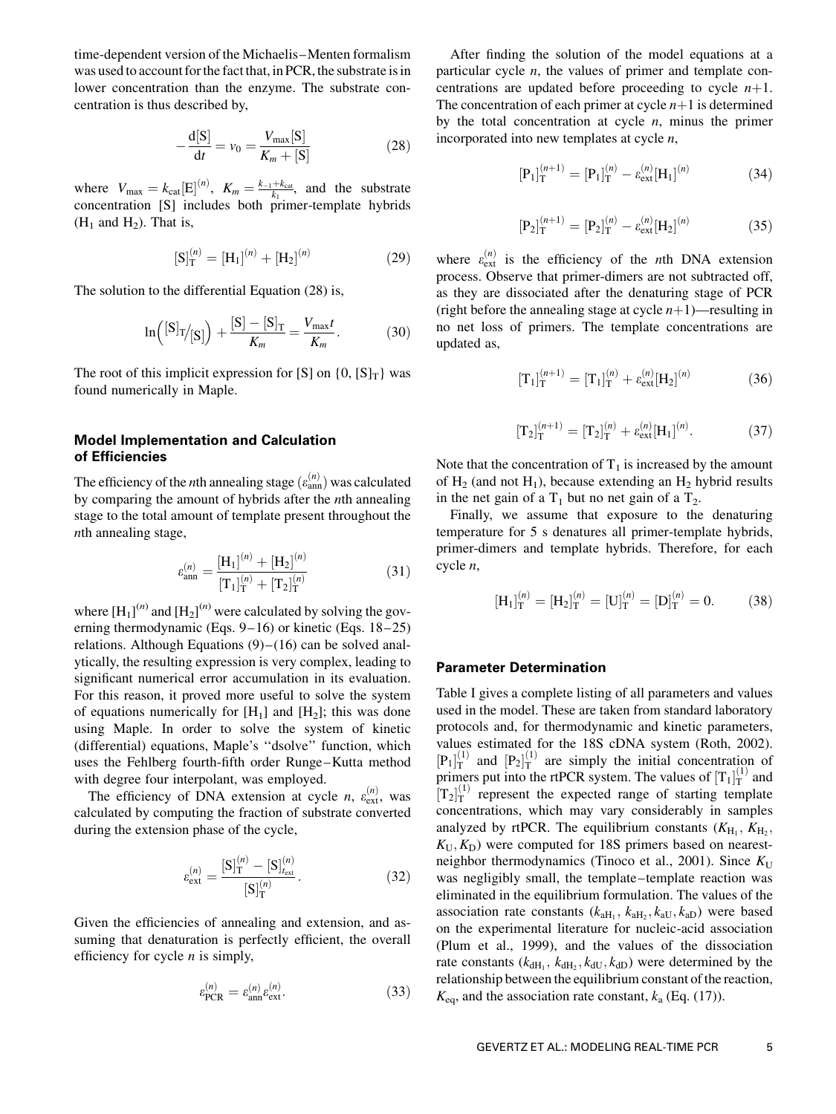time-dependent version of the Michaelis–Menten formalism was used to account for the fact that, in PCR, the substrate is in lower concentration than the enzyme. The substrate concentration is thus described by,

$$
-\frac{d[S]}{dt} = v_0 = \frac{V_{\text{max}}[S]}{K_m + [S]}
$$
 (28)

where  $V_{\text{max}} = k_{\text{cat}} [E]^{(n)}$ ,  $K_m = \frac{k_{-1} + k_{\text{cat}}}{k_1}$ , and the substrate concentration [S] includes both primer-template hybrids  $(H_1$  and  $H_2$ ). That is,

$$
[S]_T^{(n)} = [H_1]^{(n)} + [H_2]^{(n)} \tag{29}
$$

The solution to the differential Equation (28) is,

$$
\ln\left( \left[ S \right]_{T} / [S] \right) + \frac{[S] - [S]_{T}}{K_m} = \frac{V_{\text{max}} t}{K_m}.
$$
 (30)

The root of this implicit expression for [S] on  $\{0, [S]_T\}$  was found numerically in Maple.

## Model Implementation and Calculation of Efficiencies

The efficiency of the *n*th annealing stage  $(\varepsilon_{ann}^{(n)})$  was calculated by comparing the amount of hybrids after the nth annealing stage to the total amount of template present throughout the nth annealing stage,

$$
\varepsilon_{\rm ann}^{(n)} = \frac{[\mathbf{H}_1]^{(n)} + [\mathbf{H}_2]^{(n)}}{[\mathbf{T}_1]_T^{(n)} + [\mathbf{T}_2]_T^{(n)}}
$$
(31)

where  $[H_1]^{(n)}$  and  $[H_2]^{(n)}$  were calculated by solving the governing thermodynamic (Eqs. 9–16) or kinetic (Eqs. 18–25) relations. Although Equations  $(9)$ – $(16)$  can be solved analytically, the resulting expression is very complex, leading to significant numerical error accumulation in its evaluation. For this reason, it proved more useful to solve the system of equations numerically for  $[H_1]$  and  $[H_2]$ ; this was done using Maple. In order to solve the system of kinetic (differential) equations, Maple's ''dsolve'' function, which uses the Fehlberg fourth-fifth order Runge–Kutta method with degree four interpolant, was employed.

The efficiency of DNA extension at cycle *n*,  $\varepsilon_{ext}^{(n)}$ , was calculated by computing the fraction of substrate converted during the extension phase of the cycle,

$$
\varepsilon_{\text{ext}}^{(n)} = \frac{[\mathbf{S}]_{\text{T}}^{(n)} - [\mathbf{S}]_{t_{\text{ext}}}^{(n)}}{[\mathbf{S}]_{\text{T}}^{(n)}}.
$$
\n(32)

Given the efficiencies of annealing and extension, and assuming that denaturation is perfectly efficient, the overall efficiency for cycle  $n$  is simply,

$$
\varepsilon_{\text{PCR}}^{(n)} = \varepsilon_{\text{ann}}^{(n)} \varepsilon_{\text{ext}}^{(n)}.
$$
 (33)

After finding the solution of the model equations at a particular cycle n, the values of primer and template concentrations are updated before proceeding to cycle  $n+1$ . The concentration of each primer at cycle  $n+1$  is determined by the total concentration at cycle  $n$ , minus the primer incorporated into new templates at cycle  $n$ ,

$$
[\mathbf{P}_1]_{\mathbf{T}}^{(n+1)} = [\mathbf{P}_1]_{\mathbf{T}}^{(n)} - \varepsilon_{\text{ext}}^{(n)}[\mathbf{H}_1]^{(n)} \tag{34}
$$

$$
[\mathbf{P}_2]_T^{(n+1)} = [\mathbf{P}_2]_T^{(n)} - \varepsilon_{\text{ext}}^{(n)}[\mathbf{H}_2]^{(n)} \tag{35}
$$

where  $\varepsilon_{ext}^{(n)}$  is the efficiency of the *n*th DNA extension process. Observe that primer-dimers are not subtracted off, as they are dissociated after the denaturing stage of PCR (right before the annealing stage at cycle  $n+1$ )—resulting in no net loss of primers. The template concentrations are updated as,

$$
[\mathrm{T}_{1}]_{\mathrm{T}}^{(n+1)} = [\mathrm{T}_{1}]_{\mathrm{T}}^{(n)} + \varepsilon_{\mathrm{ext}}^{(n)}[\mathrm{H}_{2}]^{(n)} \tag{36}
$$

$$
[T_2]_T^{(n+1)} = [T_2]_T^{(n)} + \varepsilon_{\text{ext}}^{(n)} [H_1]^{(n)}.
$$
 (37)

Note that the concentration of  $T_1$  is increased by the amount of  $H_2$  (and not  $H_1$ ), because extending an  $H_2$  hybrid results in the net gain of a  $T_1$  but no net gain of a  $T_2$ .

Finally, we assume that exposure to the denaturing temperature for 5 s denatures all primer-template hybrids, primer-dimers and template hybrids. Therefore, for each cycle n,

$$
[\mathrm{H}_{1}]_{\mathrm{T}}^{(n)} = [\mathrm{H}_{2}]_{\mathrm{T}}^{(n)} = [\mathrm{U}]_{\mathrm{T}}^{(n)} = [\mathrm{D}]_{\mathrm{T}}^{(n)} = 0. \tag{38}
$$

#### Parameter Determination

Table I gives a complete listing of all parameters and values used in the model. These are taken from standard laboratory protocols and, for thermodynamic and kinetic parameters, values estimated for the 18S cDNA system (Roth, 2002).  $[P_1]_T^{(1)}$  and  $[P_2]_T^{(1)}$  are simply the initial concentration of primers put into the rtPCR system. The values of  $[T_1]_T^{(1)}$  and  $[T_2]_T^{(1)}$  represent the expected range of starting template concentrations, which may vary considerably in samples analyzed by rtPCR. The equilibrium constants  $(K_{\mathrm{H}_1}, K_{\mathrm{H}_2},$  $K_U, K_D$ ) were computed for 18S primers based on nearestneighbor thermodynamics (Tinoco et al., 2001). Since  $K_U$ was negligibly small, the template–template reaction was eliminated in the equilibrium formulation. The values of the association rate constants  $(k<sub>aH<sub>1</sub></sub>, k<sub>aH<sub>2</sub></sub>, k<sub>aU</sub>, k<sub>aD</sub>)$  were based on the experimental literature for nucleic-acid association (Plum et al., 1999), and the values of the dissociation rate constants ( $k_{dH_1}$ ,  $k_{dH_2}$ ,  $k_{dU}$ ,  $k_{dD}$ ) were determined by the relationship between the equilibrium constant of the reaction,  $K_{eq}$ , and the association rate constant,  $k_a$  (Eq. (17)).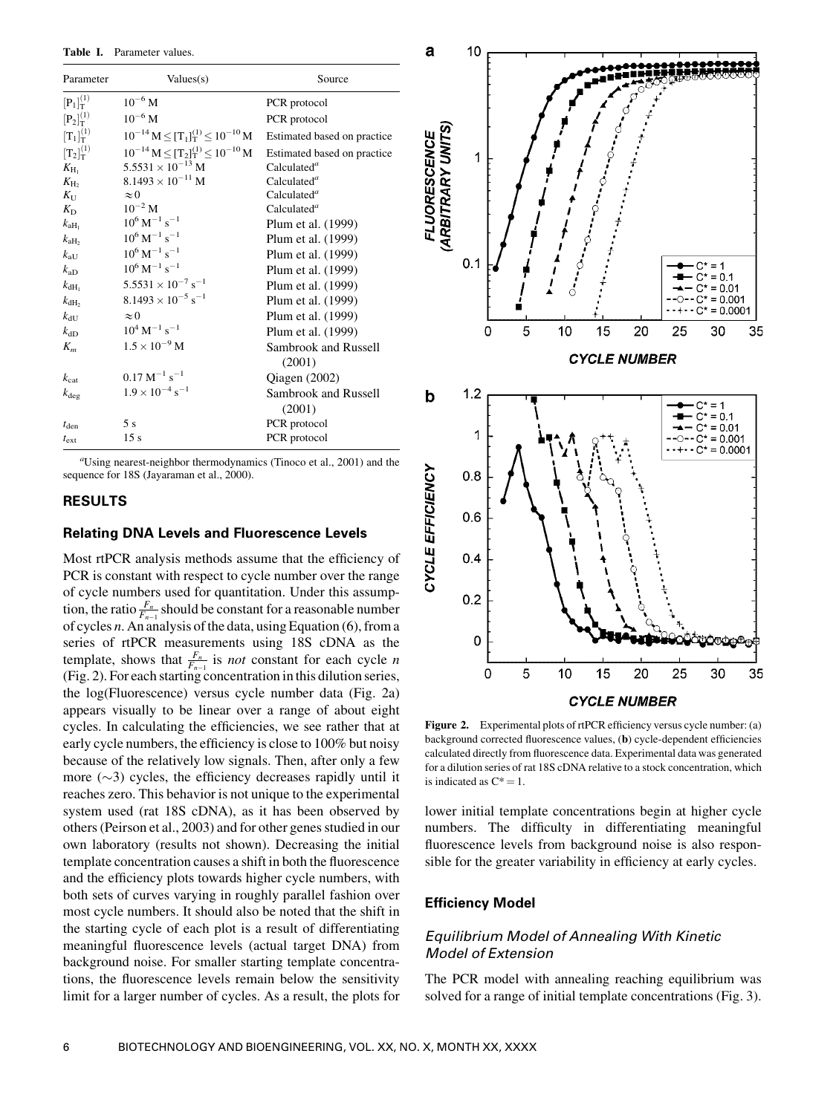Table I. Parameter values.

| Parameter           | Values(s)                                       | Source                               |
|---------------------|-------------------------------------------------|--------------------------------------|
| $[P_1]_T^{(1)}$     | $10^{-6}$ M                                     | PCR protocol                         |
| $[P_2]_T^{(1)}$     | $10^{-6}$ M                                     | PCR protocol                         |
| $[T_1]_T^{(1)}$     | $10^{-14} M \leq [T_1]_T^{(1)} \leq 10^{-10} M$ | Estimated based on practice          |
| $[T_2]_T^{(1)}$     | $10^{-14} M \leq [T_2]_T^{(1)} \leq 10^{-10} M$ | Estimated based on practice          |
| $K_{\rm H_1}$       | $5.5531 \times 10^{-13}$ M                      | Calculated <sup>a</sup>              |
| $K_{\rm H_2}$       | $8.1493 \times 10^{-11}$ M                      | Calculated <sup>a</sup>              |
| $K_{\mathrm{U}}$    | $\approx 0$                                     | Calculated <sup>a</sup>              |
| $K_{\rm D}$         | $10^{-2}$ M                                     | Calculated <sup><math>a</math></sup> |
| $k_{\text{aH}_{1}}$ | $10^6 \,\mathrm{M}^{-1} \,\mathrm{s}^{-1}$      | Plum et al. (1999)                   |
| $k_{\text{aH}_2}$   | $10^6 \,\mathrm{M}^{-1} \,\mathrm{s}^{-1}$      | Plum et al. (1999)                   |
| $k_{\mathrm{aU}}$   | $10^6 \,\mathrm{M}^{-1} \,\mathrm{s}^{-1}$      | Plum et al. (1999)                   |
| $k_{aD}$            | $10^6 \,\mathrm{M}^{-1} \,\mathrm{s}^{-1}$      | Plum et al. (1999)                   |
| $k_{\text{dH}_1}$   | $5.5531 \times 10^{-7}$ s <sup>-1</sup>         | Plum et al. (1999)                   |
| $k_{\text{dH}_2}$   | $8.1493 \times 10^{-5}$ s <sup>-1</sup>         | Plum et al. (1999)                   |
| $k_{\text{dU}}$     | $\approx 0$                                     | Plum et al. (1999)                   |
| $k_{\text{dD}}$     | $10^4 \,\mathrm{M}^{-1} \,\mathrm{s}^{-1}$      | Plum et al. (1999)                   |
| $K_m$               | $1.5 \times 10^{-9}$ M                          | Sambrook and Russell                 |
|                     |                                                 | (2001)                               |
| $k_{\rm cat}$       | $0.17 \text{ M}^{-1} \text{ s}^{-1}$            | Qiagen (2002)                        |
| $k_{\text{deg}}$    | $1.9 \times 10^{-4}$ s <sup>-1</sup>            | Sambrook and Russell                 |
|                     |                                                 | (2001)                               |
| $t_{\rm den}$       | 5s                                              | PCR protocol                         |
| $t_{\rm ext}$       | 15s                                             | PCR protocol                         |

a Using nearest-neighbor thermodynamics (Tinoco et al., 2001) and the sequence for 18S (Jayaraman et al., 2000).

## RESULTS

## Relating DNA Levels and Fluorescence Levels

Most rtPCR analysis methods assume that the efficiency of PCR is constant with respect to cycle number over the range of cycle numbers used for quantitation. Under this assumption, the ratio  $\frac{F_n}{F_{n-1}}$  should be constant for a reasonable number of cycles n. An analysis of the data, using Equation (6), from a series of rtPCR measurements using 18S cDNA as the template, shows that  $\frac{F_n}{F_{n-1}}$  is *not* constant for each cycle *n* (Fig. 2). For each starting concentration in this dilution series, the log(Fluorescence) versus cycle number data (Fig. 2a) appears visually to be linear over a range of about eight cycles. In calculating the efficiencies, we see rather that at early cycle numbers, the efficiency is close to 100% but noisy because of the relatively low signals. Then, after only a few more  $(\sim 3)$  cycles, the efficiency decreases rapidly until it reaches zero. This behavior is not unique to the experimental system used (rat 18S cDNA), as it has been observed by others (Peirson et al., 2003) and for other genes studied in our own laboratory (results not shown). Decreasing the initial template concentration causes a shift in both the fluorescence and the efficiency plots towards higher cycle numbers, with both sets of curves varying in roughly parallel fashion over most cycle numbers. It should also be noted that the shift in the starting cycle of each plot is a result of differentiating meaningful fluorescence levels (actual target DNA) from background noise. For smaller starting template concentrations, the fluorescence levels remain below the sensitivity limit for a larger number of cycles. As a result, the plots for



Figure 2. Experimental plots of rtPCR efficiency versus cycle number: (a) background corrected fluorescence values, (b) cycle-dependent efficiencies calculated directly from fluorescence data. Experimental data was generated for a dilution series of rat 18S cDNA relative to a stock concentration, which is indicated as  $C^* = 1$ .

lower initial template concentrations begin at higher cycle numbers. The difficulty in differentiating meaningful fluorescence levels from background noise is also responsible for the greater variability in efficiency at early cycles.

## Efficiency Model

## Equilibrium Model of Annealing With Kinetic Model of Extension

The PCR model with annealing reaching equilibrium was solved for a range of initial template concentrations (Fig. 3).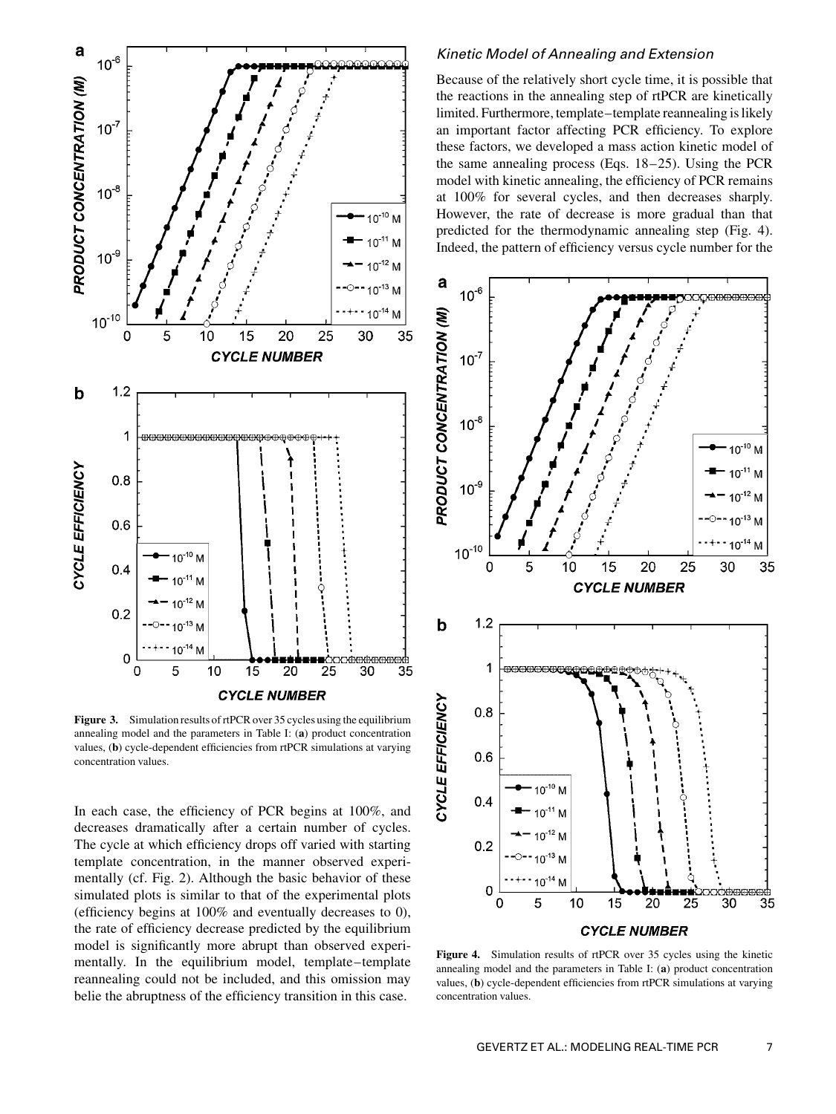

Figure 3. Simulation results of rtPCR over 35 cycles using the equilibrium annealing model and the parameters in Table I: (a) product concentration values, (b) cycle-dependent efficiencies from rtPCR simulations at varying concentration values.

In each case, the efficiency of PCR begins at 100%, and decreases dramatically after a certain number of cycles. The cycle at which efficiency drops off varied with starting template concentration, in the manner observed experimentally (cf. Fig. 2). Although the basic behavior of these simulated plots is similar to that of the experimental plots (efficiency begins at 100% and eventually decreases to 0), the rate of efficiency decrease predicted by the equilibrium model is significantly more abrupt than observed experimentally. In the equilibrium model, template–template reannealing could not be included, and this omission may belie the abruptness of the efficiency transition in this case.

## Kinetic Model of Annealing and Extension

Because of the relatively short cycle time, it is possible that the reactions in the annealing step of rtPCR are kinetically limited. Furthermore, template–template reannealing is likely an important factor affecting PCR efficiency. To explore these factors, we developed a mass action kinetic model of the same annealing process (Eqs. 18–25). Using the PCR model with kinetic annealing, the efficiency of PCR remains at 100% for several cycles, and then decreases sharply. However, the rate of decrease is more gradual than that predicted for the thermodynamic annealing step (Fig. 4). Indeed, the pattern of efficiency versus cycle number for the



Figure 4. Simulation results of rtPCR over 35 cycles using the kinetic annealing model and the parameters in Table I: (a) product concentration values, (b) cycle-dependent efficiencies from rtPCR simulations at varying concentration values.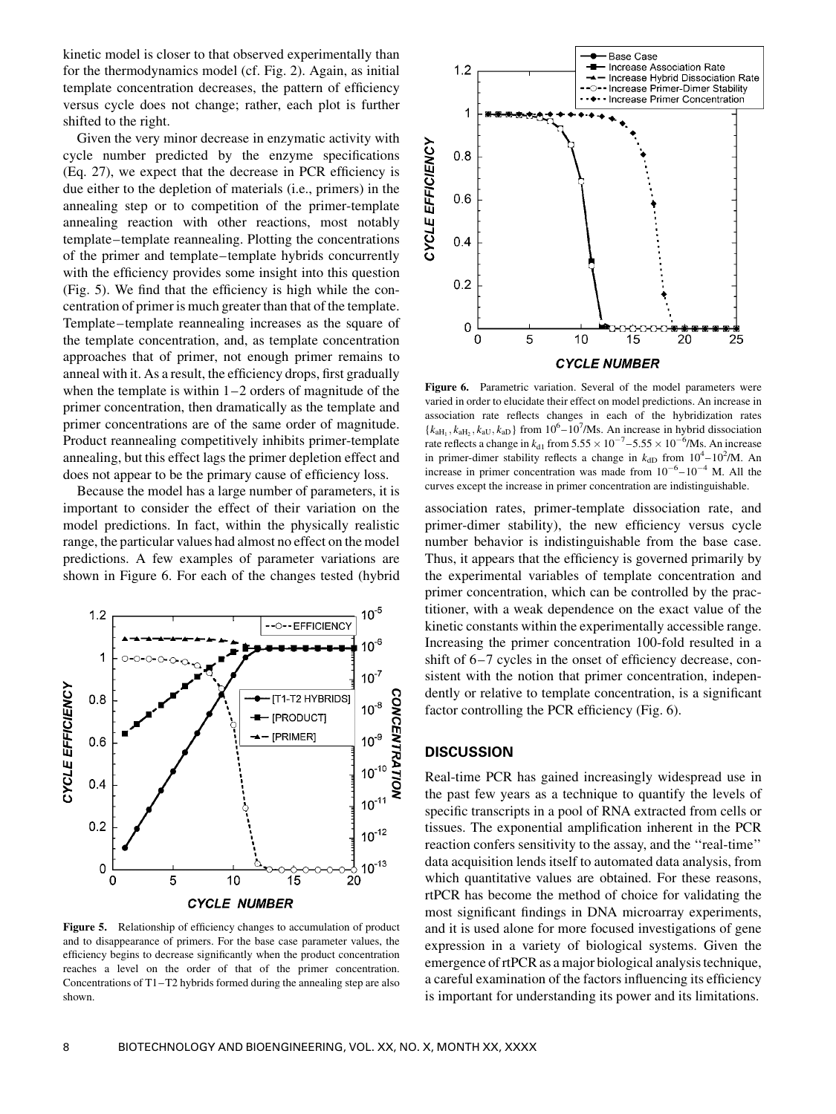kinetic model is closer to that observed experimentally than for the thermodynamics model (cf. Fig. 2). Again, as initial template concentration decreases, the pattern of efficiency versus cycle does not change; rather, each plot is further shifted to the right.

Given the very minor decrease in enzymatic activity with cycle number predicted by the enzyme specifications (Eq. 27), we expect that the decrease in PCR efficiency is due either to the depletion of materials (i.e., primers) in the annealing step or to competition of the primer-template annealing reaction with other reactions, most notably template–template reannealing. Plotting the concentrations of the primer and template–template hybrids concurrently with the efficiency provides some insight into this question (Fig. 5). We find that the efficiency is high while the concentration of primer is much greater than that of the template. Template–template reannealing increases as the square of the template concentration, and, as template concentration approaches that of primer, not enough primer remains to anneal with it. As a result, the efficiency drops, first gradually when the template is within  $1-2$  orders of magnitude of the primer concentration, then dramatically as the template and primer concentrations are of the same order of magnitude. Product reannealing competitively inhibits primer-template annealing, but this effect lags the primer depletion effect and does not appear to be the primary cause of efficiency loss.

Because the model has a large number of parameters, it is important to consider the effect of their variation on the model predictions. In fact, within the physically realistic range, the particular values had almost no effect on the model predictions. A few examples of parameter variations are shown in Figure 6. For each of the changes tested (hybrid



Figure 5. Relationship of efficiency changes to accumulation of product and to disappearance of primers. For the base case parameter values, the efficiency begins to decrease significantly when the product concentration reaches a level on the order of that of the primer concentration. Concentrations of T1–T2 hybrids formed during the annealing step are also shown.



Figure 6. Parametric variation. Several of the model parameters were varied in order to elucidate their effect on model predictions. An increase in association rate reflects changes in each of the hybridization rates  ${k<sub>aH<sub>1</sub>}</sub>$ ,  $k<sub>aH<sub>2</sub>}</sub>$ ,  $k<sub>aU</sub>$ ,  $k<sub>aD</sub>$  from  $10<sup>6</sup> - 10<sup>7</sup>/\text{Ms}$ . An increase in hybrid dissociation rate reflects a change in  $k_{d1}$  from  $5.55 \times 10^{-7} - 5.55 \times 10^{-6}$ /Ms. An increase in primer-dimer stability reflects a change in  $k_{dD}$  from  $10^4 - 10^2/M$ . An increase in primer concentration was made from  $10^{-6} - 10^{-4}$  M. All the curves except the increase in primer concentration are indistinguishable.

association rates, primer-template dissociation rate, and primer-dimer stability), the new efficiency versus cycle number behavior is indistinguishable from the base case. Thus, it appears that the efficiency is governed primarily by the experimental variables of template concentration and primer concentration, which can be controlled by the practitioner, with a weak dependence on the exact value of the kinetic constants within the experimentally accessible range. Increasing the primer concentration 100-fold resulted in a shift of 6–7 cycles in the onset of efficiency decrease, consistent with the notion that primer concentration, independently or relative to template concentration, is a significant factor controlling the PCR efficiency (Fig. 6).

## **DISCUSSION**

Real-time PCR has gained increasingly widespread use in the past few years as a technique to quantify the levels of specific transcripts in a pool of RNA extracted from cells or tissues. The exponential amplification inherent in the PCR reaction confers sensitivity to the assay, and the ''real-time'' data acquisition lends itself to automated data analysis, from which quantitative values are obtained. For these reasons, rtPCR has become the method of choice for validating the most significant findings in DNA microarray experiments, and it is used alone for more focused investigations of gene expression in a variety of biological systems. Given the emergence of rtPCR as a major biological analysis technique, a careful examination of the factors influencing its efficiency is important for understanding its power and its limitations.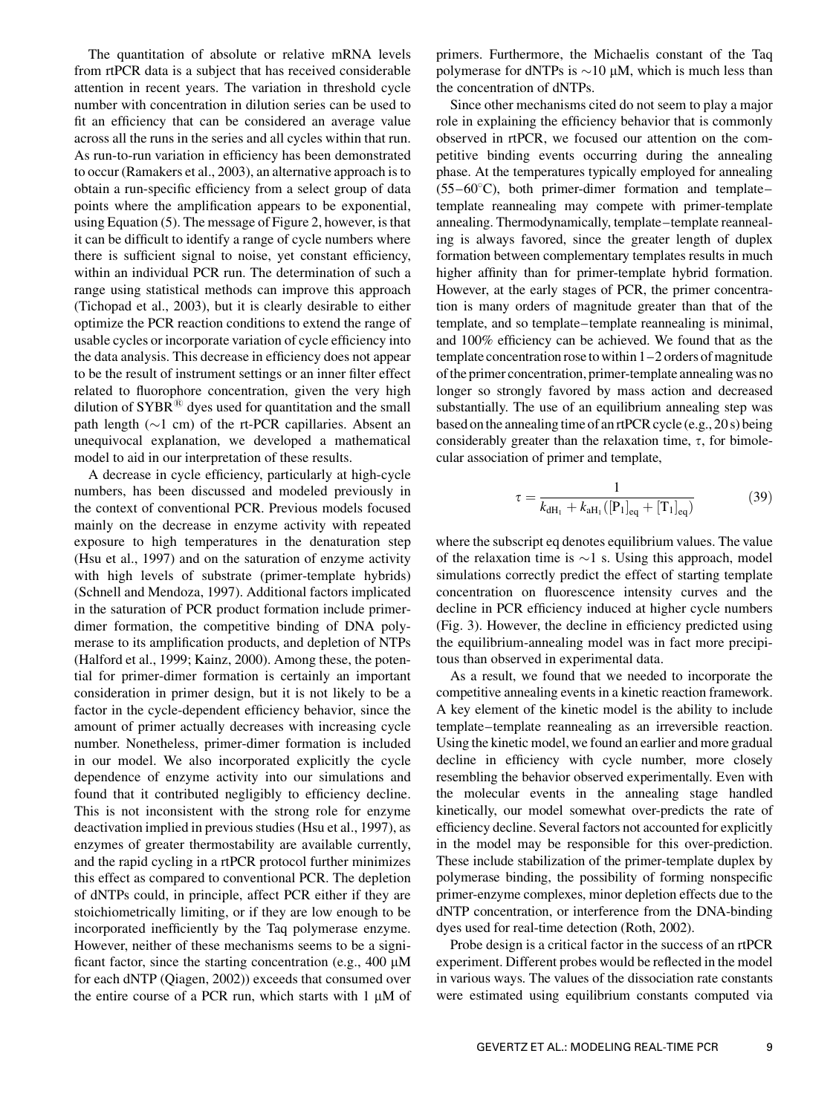The quantitation of absolute or relative mRNA levels from rtPCR data is a subject that has received considerable attention in recent years. The variation in threshold cycle number with concentration in dilution series can be used to fit an efficiency that can be considered an average value across all the runs in the series and all cycles within that run. As run-to-run variation in efficiency has been demonstrated to occur (Ramakers et al., 2003), an alternative approach is to obtain a run-specific efficiency from a select group of data points where the amplification appears to be exponential, using Equation (5). The message of Figure 2, however, is that it can be difficult to identify a range of cycle numbers where there is sufficient signal to noise, yet constant efficiency, within an individual PCR run. The determination of such a range using statistical methods can improve this approach (Tichopad et al., 2003), but it is clearly desirable to either optimize the PCR reaction conditions to extend the range of usable cycles or incorporate variation of cycle efficiency into the data analysis. This decrease in efficiency does not appear to be the result of instrument settings or an inner filter effect related to fluorophore concentration, given the very high dilution of  $SYBR^{\circledR}$  dyes used for quantitation and the small path length  $(\sim 1 \text{ cm})$  of the rt-PCR capillaries. Absent an unequivocal explanation, we developed a mathematical model to aid in our interpretation of these results.

A decrease in cycle efficiency, particularly at high-cycle numbers, has been discussed and modeled previously in the context of conventional PCR. Previous models focused mainly on the decrease in enzyme activity with repeated exposure to high temperatures in the denaturation step (Hsu et al., 1997) and on the saturation of enzyme activity with high levels of substrate (primer-template hybrids) (Schnell and Mendoza, 1997). Additional factors implicated in the saturation of PCR product formation include primerdimer formation, the competitive binding of DNA polymerase to its amplification products, and depletion of NTPs (Halford et al., 1999; Kainz, 2000). Among these, the potential for primer-dimer formation is certainly an important consideration in primer design, but it is not likely to be a factor in the cycle-dependent efficiency behavior, since the amount of primer actually decreases with increasing cycle number. Nonetheless, primer-dimer formation is included in our model. We also incorporated explicitly the cycle dependence of enzyme activity into our simulations and found that it contributed negligibly to efficiency decline. This is not inconsistent with the strong role for enzyme deactivation implied in previous studies (Hsu et al., 1997), as enzymes of greater thermostability are available currently, and the rapid cycling in a rtPCR protocol further minimizes this effect as compared to conventional PCR. The depletion of dNTPs could, in principle, affect PCR either if they are stoichiometrically limiting, or if they are low enough to be incorporated inefficiently by the Taq polymerase enzyme. However, neither of these mechanisms seems to be a significant factor, since the starting concentration (e.g.,  $400 \mu M$ for each dNTP (Qiagen, 2002)) exceeds that consumed over the entire course of a PCR run, which starts with  $1 \mu M$  of primers. Furthermore, the Michaelis constant of the Taq polymerase for dNTPs is  $\sim$ 10  $\mu$ M, which is much less than the concentration of dNTPs.

Since other mechanisms cited do not seem to play a major role in explaining the efficiency behavior that is commonly observed in rtPCR, we focused our attention on the competitive binding events occurring during the annealing phase. At the temperatures typically employed for annealing  $(55-60^{\circ}C)$ , both primer-dimer formation and templatetemplate reannealing may compete with primer-template annealing. Thermodynamically, template–template reannealing is always favored, since the greater length of duplex formation between complementary templates results in much higher affinity than for primer-template hybrid formation. However, at the early stages of PCR, the primer concentration is many orders of magnitude greater than that of the template, and so template–template reannealing is minimal, and 100% efficiency can be achieved. We found that as the template concentration rose towithin 1–2 orders of magnitude of the primer concentration, primer-template annealing was no longer so strongly favored by mass action and decreased substantially. The use of an equilibrium annealing step was based on the annealing time of an rtPCR cycle (e.g., 20 s) being considerably greater than the relaxation time,  $\tau$ , for bimolecular association of primer and template,

$$
\tau = \frac{1}{k_{\text{dH}_1} + k_{\text{aH}_1}([P_1]_{\text{eq}} + [T_1]_{\text{eq}})}
$$
(39)

where the subscript eq denotes equilibrium values. The value of the relaxation time is  $\sim$ 1 s. Using this approach, model simulations correctly predict the effect of starting template concentration on fluorescence intensity curves and the decline in PCR efficiency induced at higher cycle numbers (Fig. 3). However, the decline in efficiency predicted using the equilibrium-annealing model was in fact more precipitous than observed in experimental data.

As a result, we found that we needed to incorporate the competitive annealing events in a kinetic reaction framework. A key element of the kinetic model is the ability to include template–template reannealing as an irreversible reaction. Using the kinetic model, we found an earlier and more gradual decline in efficiency with cycle number, more closely resembling the behavior observed experimentally. Even with the molecular events in the annealing stage handled kinetically, our model somewhat over-predicts the rate of efficiency decline. Several factors not accounted for explicitly in the model may be responsible for this over-prediction. These include stabilization of the primer-template duplex by polymerase binding, the possibility of forming nonspecific primer-enzyme complexes, minor depletion effects due to the dNTP concentration, or interference from the DNA-binding dyes used for real-time detection (Roth, 2002).

Probe design is a critical factor in the success of an rtPCR experiment. Different probes would be reflected in the model in various ways. The values of the dissociation rate constants were estimated using equilibrium constants computed via